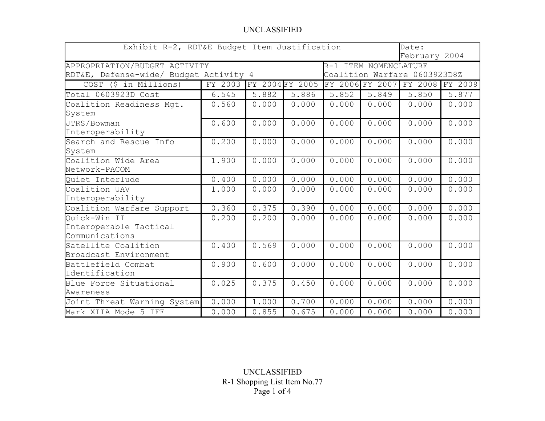## UNCLASSIFIED

| Exhibit R-2, RDT&E Budget Item Justification<br>Date:<br>February 2004 |         |                 |       |                              |                 |                 |       |
|------------------------------------------------------------------------|---------|-----------------|-------|------------------------------|-----------------|-----------------|-------|
| APPROPRIATION/BUDGET ACTIVITY<br>R-1 ITEM NOMENCLATURE                 |         |                 |       |                              |                 |                 |       |
| RDT&E, Defense-wide/ Budget Activity 4                                 |         |                 |       | Coalition Warfare 0603923D8Z |                 |                 |       |
| COST (\$ in Millions)                                                  | FY 2003 | FY 2004 FY 2005 |       |                              | FY 2006 FY 2007 | FY 2008 FY 2009 |       |
| Total 0603923D Cost                                                    | 6.545   | 5.882           | 5.886 | 5.852                        | 5.849           | 5.850           | 5.877 |
| Coalition Readiness Mgt.<br>System                                     | 0.560   | 0.000           | 0.000 | 0.000                        | 0.000           | 0.000           | 0.000 |
| JTRS/Bowman<br>Interoperability                                        | 0.600   | 0.000           | 0.000 | 0.000                        | 0.000           | 0.000           | 0.000 |
| Search and Rescue Info<br>System                                       | 0.200   | 0.000           | 0.000 | 0.000                        | 0.000           | 0.000           | 0.000 |
| Coalition Wide Area<br>Network-PACOM                                   | 1.900   | 0.000           | 0.000 | 0.000                        | 0.000           | 0.000           | 0.000 |
| Quiet Interlude                                                        | 0.400   | 0.000           | 0.000 | 0.000                        | 0.000           | 0.000           | 0.000 |
| Coalition UAV<br>Interoperability                                      | 1.000   | 0.000           | 0.000 | 0.000                        | 0.000           | 0.000           | 0.000 |
| Coalition Warfare Support                                              | 0.360   | 0.375           | 0.390 | 0.000                        | 0.000           | 0.000           | 0.000 |
| Quick-Win II -<br>Interoperable Tactical<br>Communications             | 0.200   | 0.200           | 0.000 | 0.000                        | 0.000           | 0.000           | 0.000 |
| Satellite Coalition<br>Broadcast Environment                           | 0.400   | 0.569           | 0.000 | 0.000                        | 0.000           | 0.000           | 0.000 |
| Battlefield Combat<br>Identification                                   | 0.900   | 0.600           | 0.000 | 0.000                        | 0.000           | 0.000           | 0.000 |
| Blue Force Situational<br>Awareness                                    | 0.025   | 0.375           | 0.450 | 0.000                        | 0.000           | 0.000           | 0.000 |
| Joint Threat Warning System                                            | 0.000   | 1.000           | 0.700 | 0.000                        | 0.000           | 0.000           | 0.000 |
| Mark XIIA Mode 5 IFF                                                   | 0.000   | 0.855           | 0.675 | 0.000                        | 0.000           | 0.000           | 0.000 |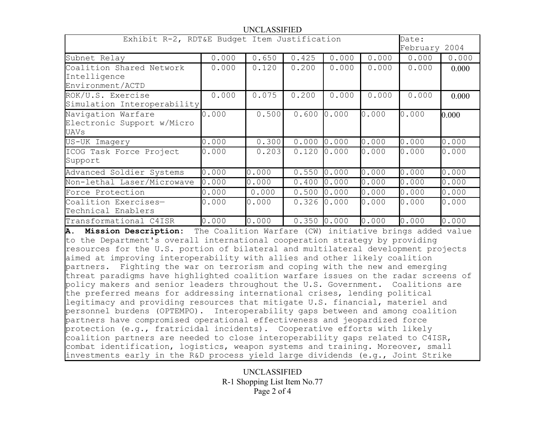## UNCLASSIFIED

| Exhibit R-2, RDT&E Budget Item Justification                 |       |       |       |       |       | Date:<br>February 2004 |       |
|--------------------------------------------------------------|-------|-------|-------|-------|-------|------------------------|-------|
| Subnet Relay                                                 | 0.000 | 0.650 | 0.425 | 0.000 | 0.000 | 0.000                  | 0.000 |
| Coalition Shared Network<br>Intelligence<br>Environment/ACTD | 0.000 | 0.120 | 0.200 | 0.000 | 0.000 | 0.000                  | 0.000 |
| ROK/U.S. Exercise<br>Simulation Interoperability             | 0.000 | 0.075 | 0.200 | 0.000 | 0.000 | 0.000                  | 0.000 |
| Navigation Warfare<br>Electronic Support w/Micro<br>UAVs     | 0.000 | 0.500 | 0.600 | 0.000 | 0.000 | 0.000                  | 0.000 |
| US-UK Imagery                                                | 0.000 | 0.300 | 0.000 | 0.000 | 0.000 | 0.000                  | 0.000 |
| ICOG Task Force Project<br>Support                           | 0.000 | 0.203 | 0.120 | 0.000 | 0.000 | 0.000                  | 0.000 |
| Advanced Soldier Systems                                     | 0.000 | 0.000 | 0.550 | 0.000 | 0.000 | 0.000                  | 0.000 |
| Non-lethal Laser/Microwave                                   | 0.000 | 0.000 | 0.400 | 0.000 | 0.000 | 0.000                  | 0.000 |
| Force Protection                                             | 0.000 | 0.000 | 0.500 | 0.000 | 0.000 | 0.000                  | 0.000 |
| Coalition Exercises-<br>Technical Enablers                   | 0.000 | 0.000 | 0.326 | 0.000 | 0.000 | 0.000                  | 0.000 |
| Transformational C4ISR                                       | 0.000 | 0.000 | 0.350 | 0.000 | 0.000 | 0.000                  | 0.000 |

**A. Mission Description:** The Coalition Warfare (CW) initiative brings added value to the Department's overall international cooperation strategy by providing resources for the U.S. portion of bilateral and multilateral development projects aimed at improving interoperability with allies and other likely coalition partners. Fighting the war on terrorism and coping with the new and emerging threat paradigms have highlighted coalition warfare issues on the radar screens of policy makers and senior leaders throughout the U.S. Government. Coalitions are the preferred means for addressing international crises, lending political legitimacy and providing resources that mitigate U.S. financial, materiel and personnel burdens (OPTEMPO). Interoperability gaps between and among coalition partners have compromised operational effectiveness and jeopardized force protection (e.g., fratricidal incidents). Cooperative efforts with likely coalition partners are needed to close interoperability gaps related to C4ISR, combat identification, logistics, weapon systems and training. Moreover, small investments early in the R&D process yield large dividends (e.g., Joint Strike

> UNCLASSIFIED R-1 Shopping List Item No.77 Page 2 of 4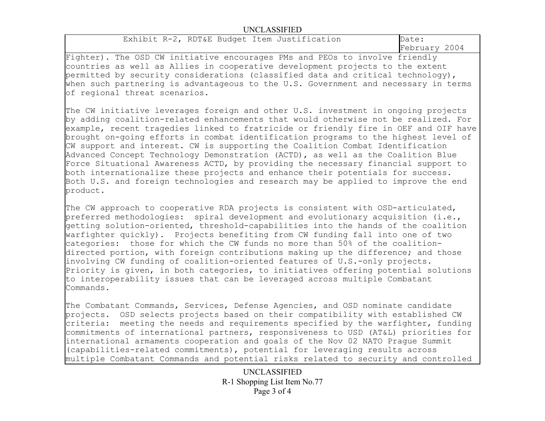## UNCLASSIFIED

Exhibit R-2, RDT&E Budget Item Justification Date:

February 2004

Fighter). The OSD CW initiative encourages PMs and PEOs to involve friendly countries as well as Allies in cooperative development projects to the extent permitted by security considerations (classified data and critical technology), when such partnering is advantageous to the U.S. Government and necessary in terms of regional threat scenarios.

The CW initiative leverages foreign and other U.S. investment in ongoing projects by adding coalition-related enhancements that would otherwise not be realized. For example, recent tragedies linked to fratricide or friendly fire in OEF and OIF have brought on-going efforts in combat identification programs to the highest level of CW support and interest. CW is supporting the Coalition Combat Identification Advanced Concept Technology Demonstration (ACTD), as well as the Coalition Blue Force Situational Awareness ACTD, by providing the necessary financial support to both internationalize these projects and enhance their potentials for success. Both U.S. and foreign technologies and research may be applied to improve the end product.

The CW approach to cooperative RDA projects is consistent with OSD-articulated, preferred methodologies: spiral development and evolutionary acquisition (i.e., getting solution-oriented, threshold-capabilities into the hands of the coalition warfighter quickly). Projects benefiting from CW funding fall into one of two categories: those for which the CW funds no more than 50% of the coalitiondirected portion, with foreign contributions making up the difference; and those involving CW funding of coalition-oriented features of U.S.-only projects. Priority is given, in both categories, to initiatives offering potential solutions to interoperability issues that can be leveraged across multiple Combatant Commands.

The Combatant Commands, Services, Defense Agencies, and OSD nominate candidate projects. OSD selects projects based on their compatibility with established CW criteria: meeting the needs and requirements specified by the warfighter, funding commitments of international partners, responsiveness to USD (AT&L) priorities for international armaments cooperation and goals of the Nov 02 NATO Prague Summit (capabilities-related commitments), potential for leveraging results across multiple Combatant Commands and potential risks related to security and controlled

> UNCLASSIFIED R-1 Shopping List Item No.77 Page 3 of 4